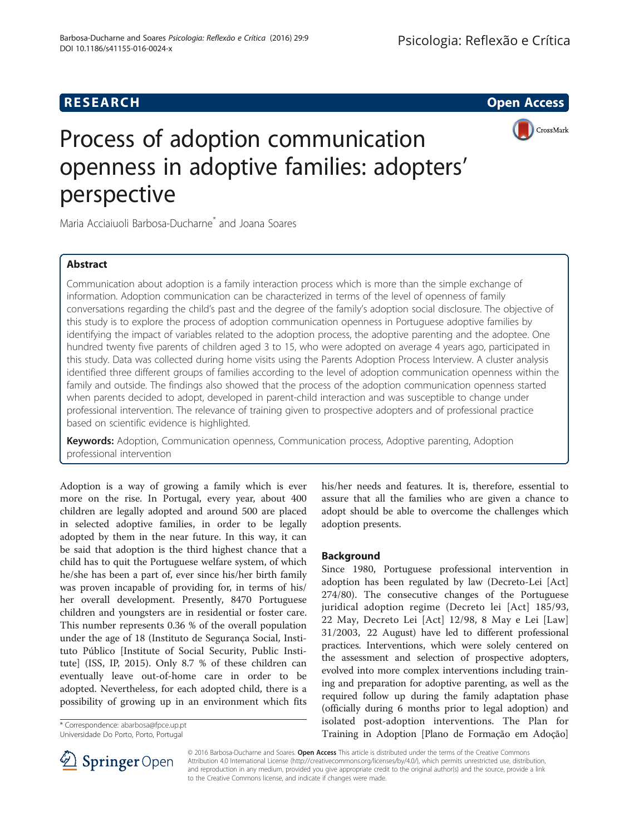## **RESEARCH CHE Open Access**



# Process of adoption communication openness in adoptive families: adopters' perspective

Maria Acciaiuoli Barbosa-Ducharne\* and Joana Soares

## Abstract

Communication about adoption is a family interaction process which is more than the simple exchange of information. Adoption communication can be characterized in terms of the level of openness of family conversations regarding the child's past and the degree of the family's adoption social disclosure. The objective of this study is to explore the process of adoption communication openness in Portuguese adoptive families by identifying the impact of variables related to the adoption process, the adoptive parenting and the adoptee. One hundred twenty five parents of children aged 3 to 15, who were adopted on average 4 years ago, participated in this study. Data was collected during home visits using the Parents Adoption Process Interview. A cluster analysis identified three different groups of families according to the level of adoption communication openness within the family and outside. The findings also showed that the process of the adoption communication openness started when parents decided to adopt, developed in parent-child interaction and was susceptible to change under professional intervention. The relevance of training given to prospective adopters and of professional practice based on scientific evidence is highlighted.

Keywords: Adoption, Communication openness, Communication process, Adoptive parenting, Adoption professional intervention

Adoption is a way of growing a family which is ever more on the rise. In Portugal, every year, about 400 children are legally adopted and around 500 are placed in selected adoptive families, in order to be legally adopted by them in the near future. In this way, it can be said that adoption is the third highest chance that a child has to quit the Portuguese welfare system, of which he/she has been a part of, ever since his/her birth family was proven incapable of providing for, in terms of his/ her overall development. Presently, 8470 Portuguese children and youngsters are in residential or foster care. This number represents 0.36 % of the overall population under the age of 18 (Instituto de Segurança Social, Instituto Público [Institute of Social Security, Public Institute] (ISS, IP, [2015\)](#page-8-0). Only 8.7 % of these children can eventually leave out-of-home care in order to be adopted. Nevertheless, for each adopted child, there is a possibility of growing up in an environment which fits

\* Correspondence: [abarbosa@fpce.up.pt](mailto:abarbosa@fpce.up.pt) Universidade Do Porto, Porto, Portugal

his/her needs and features. It is, therefore, essential to assure that all the families who are given a chance to adopt should be able to overcome the challenges which adoption presents.

## Background

Since 1980, Portuguese professional intervention in adoption has been regulated by law ([Decreto-Lei \[Act\]](#page-7-0) [274/80\)](#page-7-0). The consecutive changes of the Portuguese juridical adoption regime ([Decreto lei \[Act\] 185/93](#page-7-0), 22 May, [Decreto Lei \[Act\] 12/98,](#page-7-0) 8 May e [Lei \[Law\]](#page-8-0) [31/2003](#page-8-0), 22 August) have led to different professional practices. Interventions, which were solely centered on the assessment and selection of prospective adopters, evolved into more complex interventions including training and preparation for adoptive parenting, as well as the required follow up during the family adaptation phase (officially during 6 months prior to legal adoption) and isolated post-adoption interventions. The Plan for Training in Adoption [Plano de Formação em Adoção]



© 2016 Barbosa-Ducharne and Soares. Open Access This article is distributed under the terms of the Creative Commons Attribution 4.0 International License ([http://creativecommons.org/licenses/by/4.0/\)](http://creativecommons.org/licenses/by/4.0/), which permits unrestricted use, distribution, and reproduction in any medium, provided you give appropriate credit to the original author(s) and the source, provide a link to the Creative Commons license, and indicate if changes were made.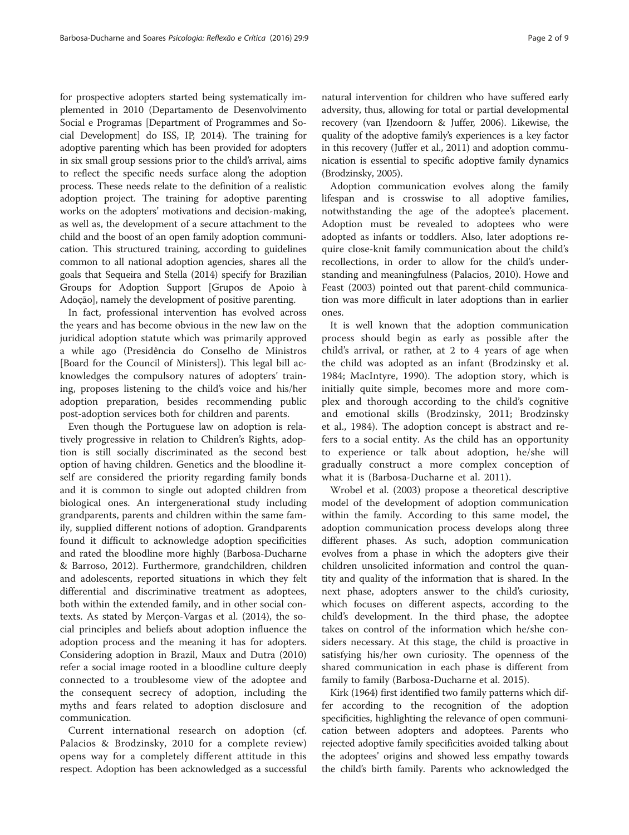for prospective adopters started being systematically implemented in 2010 (Departamento de Desenvolvimento Social e Programas [Department of Programmes and Social Development] do ISS, IP, 2014). The training for adoptive parenting which has been provided for adopters in six small group sessions prior to the child's arrival, aims to reflect the specific needs surface along the adoption process. These needs relate to the definition of a realistic adoption project. The training for adoptive parenting works on the adopters' motivations and decision-making, as well as, the development of a secure attachment to the child and the boost of an open family adoption communication. This structured training, according to guidelines common to all national adoption agencies, shares all the goals that Sequeira and Stella [\(2014](#page-8-0)) specify for Brazilian Groups for Adoption Support [Grupos de Apoio à Adoção], namely the development of positive parenting.

In fact, professional intervention has evolved across the years and has become obvious in the new law on the juridical adoption statute which was primarily approved a while ago (Presidência do Conselho de Ministros [Board for the Council of Ministers]). This legal bill acknowledges the compulsory natures of adopters' training, proposes listening to the child's voice and his/her adoption preparation, besides recommending public post-adoption services both for children and parents.

Even though the Portuguese law on adoption is relatively progressive in relation to Children's Rights, adoption is still socially discriminated as the second best option of having children. Genetics and the bloodline itself are considered the priority regarding family bonds and it is common to single out adopted children from biological ones. An intergenerational study including grandparents, parents and children within the same family, supplied different notions of adoption. Grandparents found it difficult to acknowledge adoption specificities and rated the bloodline more highly [\(Barbosa-Ducharne](#page-7-0) [& Barroso, 2012\)](#page-7-0). Furthermore, grandchildren, children and adolescents, reported situations in which they felt differential and discriminative treatment as adoptees, both within the extended family, and in other social contexts. As stated by Merçon-Vargas et al. [\(2014](#page-8-0)), the social principles and beliefs about adoption influence the adoption process and the meaning it has for adopters. Considering adoption in Brazil, Maux and Dutra ([2010](#page-8-0)) refer a social image rooted in a bloodline culture deeply connected to a troublesome view of the adoptee and the consequent secrecy of adoption, including the myths and fears related to adoption disclosure and communication.

Current international research on adoption (cf. Palacios & Brodzinsky, [2010](#page-8-0) for a complete review) opens way for a completely different attitude in this respect. Adoption has been acknowledged as a successful

natural intervention for children who have suffered early adversity, thus, allowing for total or partial developmental recovery (van IJzendoorn & Juffer, [2006](#page-8-0)). Likewise, the quality of the adoptive family's experiences is a key factor in this recovery (Juffer et al., [2011\)](#page-8-0) and adoption communication is essential to specific adoptive family dynamics (Brodzinsky, [2005](#page-7-0)).

Adoption communication evolves along the family lifespan and is crosswise to all adoptive families, notwithstanding the age of the adoptee's placement. Adoption must be revealed to adoptees who were adopted as infants or toddlers. Also, later adoptions require close-knit family communication about the child's recollections, in order to allow for the child's understanding and meaningfulness (Palacios, [2010](#page-8-0)). Howe and Feast ([2003\)](#page-8-0) pointed out that parent-child communication was more difficult in later adoptions than in earlier ones.

It is well known that the adoption communication process should begin as early as possible after the child's arrival, or rather, at 2 to 4 years of age when the child was adopted as an infant (Brodzinsky et al. [1984;](#page-7-0) MacIntyre, [1990\)](#page-8-0). The adoption story, which is initially quite simple, becomes more and more complex and thorough according to the child's cognitive and emotional skills (Brodzinsky, [2011](#page-7-0); Brodzinsky et al., [1984](#page-7-0)). The adoption concept is abstract and refers to a social entity. As the child has an opportunity to experience or talk about adoption, he/she will gradually construct a more complex conception of what it is (Barbosa-Ducharne et al. [2011\)](#page-7-0).

Wrobel et al. ([2003](#page-8-0)) propose a theoretical descriptive model of the development of adoption communication within the family. According to this same model, the adoption communication process develops along three different phases. As such, adoption communication evolves from a phase in which the adopters give their children unsolicited information and control the quantity and quality of the information that is shared. In the next phase, adopters answer to the child's curiosity, which focuses on different aspects, according to the child's development. In the third phase, the adoptee takes on control of the information which he/she considers necessary. At this stage, the child is proactive in satisfying his/her own curiosity. The openness of the shared communication in each phase is different from family to family (Barbosa-Ducharne et al. [2015](#page-7-0)).

Kirk ([1964\)](#page-8-0) first identified two family patterns which differ according to the recognition of the adoption specificities, highlighting the relevance of open communication between adopters and adoptees. Parents who rejected adoptive family specificities avoided talking about the adoptees' origins and showed less empathy towards the child's birth family. Parents who acknowledged the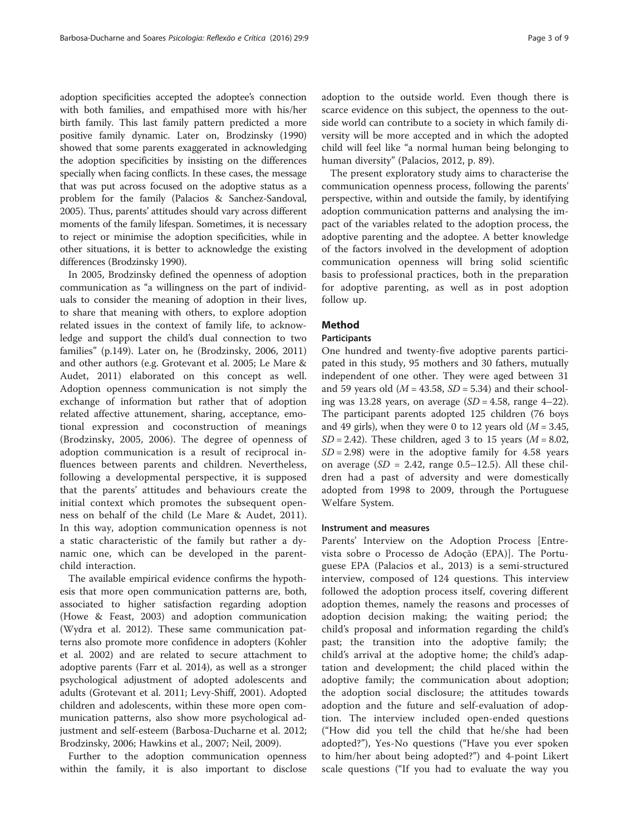adoption specificities accepted the adoptee's connection with both families, and empathised more with his/her birth family. This last family pattern predicted a more positive family dynamic. Later on, Brodzinsky [\(1990](#page-7-0)) showed that some parents exaggerated in acknowledging the adoption specificities by insisting on the differences specially when facing conflicts. In these cases, the message that was put across focused on the adoptive status as a problem for the family (Palacios & Sanchez-Sandoval, [2005\)](#page-8-0). Thus, parents' attitudes should vary across different moments of the family lifespan. Sometimes, it is necessary to reject or minimise the adoption specificities, while in other situations, it is better to acknowledge the existing differences (Brodzinsky [1990\)](#page-7-0).

In 2005, Brodzinsky defined the openness of adoption communication as "a willingness on the part of individuals to consider the meaning of adoption in their lives, to share that meaning with others, to explore adoption related issues in the context of family life, to acknowledge and support the child's dual connection to two families" (p.149). Later on, he (Brodzinsky, [2006](#page-7-0), [2011](#page-7-0)) and other authors (e.g. Grotevant et al. [2005](#page-7-0); Le Mare & Audet, [2011\)](#page-8-0) elaborated on this concept as well. Adoption openness communication is not simply the exchange of information but rather that of adoption related affective attunement, sharing, acceptance, emotional expression and coconstruction of meanings (Brodzinsky, [2005](#page-7-0), [2006\)](#page-7-0). The degree of openness of adoption communication is a result of reciprocal influences between parents and children. Nevertheless, following a developmental perspective, it is supposed that the parents' attitudes and behaviours create the initial context which promotes the subsequent openness on behalf of the child (Le Mare & Audet, [2011](#page-8-0)). In this way, adoption communication openness is not a static characteristic of the family but rather a dynamic one, which can be developed in the parentchild interaction.

The available empirical evidence confirms the hypothesis that more open communication patterns are, both, associated to higher satisfaction regarding adoption (Howe & Feast, [2003\)](#page-8-0) and adoption communication (Wydra et al. [2012](#page-8-0)). These same communication patterns also promote more confidence in adopters (Kohler et al. [2002](#page-8-0)) and are related to secure attachment to adoptive parents (Farr et al. [2014\)](#page-7-0), as well as a stronger psychological adjustment of adopted adolescents and adults (Grotevant et al. [2011](#page-7-0); Levy-Shiff, [2001\)](#page-8-0). Adopted children and adolescents, within these more open communication patterns, also show more psychological adjustment and self-esteem [\(Barbosa-Ducharne et al. 2012](#page-7-0); Brodzinsky, [2006;](#page-7-0) Hawkins et al., [2007](#page-8-0); Neil, [2009](#page-8-0)).

Further to the adoption communication openness within the family, it is also important to disclose adoption to the outside world. Even though there is scarce evidence on this subject, the openness to the outside world can contribute to a society in which family diversity will be more accepted and in which the adopted child will feel like "a normal human being belonging to human diversity" (Palacios, [2012,](#page-8-0) p. 89).

The present exploratory study aims to characterise the communication openness process, following the parents' perspective, within and outside the family, by identifying adoption communication patterns and analysing the impact of the variables related to the adoption process, the adoptive parenting and the adoptee. A better knowledge of the factors involved in the development of adoption communication openness will bring solid scientific basis to professional practices, both in the preparation for adoptive parenting, as well as in post adoption follow up.

#### Method

#### Participants

One hundred and twenty-five adoptive parents participated in this study, 95 mothers and 30 fathers, mutually independent of one other. They were aged between 31 and 59 years old  $(M = 43.58, SD = 5.34)$  and their schooling was 13.28 years, on average  $(SD = 4.58, \text{ range } 4-22)$ . The participant parents adopted 125 children (76 boys and 49 girls), when they were 0 to 12 years old  $(M = 3.45,$  $SD = 2.42$ ). These children, aged 3 to 15 years ( $M = 8.02$ ,  $SD = 2.98$ ) were in the adoptive family for 4.58 years on average  $(SD = 2.42, \text{ range } 0.5-12.5)$ . All these children had a past of adversity and were domestically adopted from 1998 to 2009, through the Portuguese Welfare System.

#### Instrument and measures

Parents' Interview on the Adoption Process [Entrevista sobre o Processo de Adoção (EPA)]. The Portuguese EPA (Palacios et al., [2013\)](#page-8-0) is a semi-structured interview, composed of 124 questions. This interview followed the adoption process itself, covering different adoption themes, namely the reasons and processes of adoption decision making; the waiting period; the child's proposal and information regarding the child's past; the transition into the adoptive family; the child's arrival at the adoptive home; the child's adaptation and development; the child placed within the adoptive family; the communication about adoption; the adoption social disclosure; the attitudes towards adoption and the future and self-evaluation of adoption. The interview included open-ended questions ("How did you tell the child that he/she had been adopted?"), Yes-No questions ("Have you ever spoken to him/her about being adopted?") and 4-point Likert scale questions ("If you had to evaluate the way you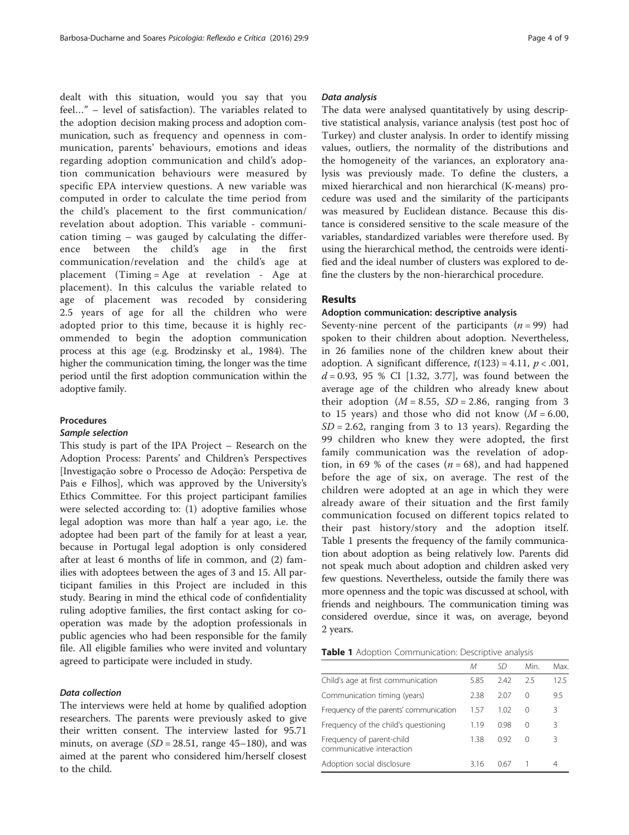dealt with this situation, would you say that you feel…" – level of satisfaction). The variables related to the adoption decision making process and adoption communication, such as frequency and openness in communication, parents' behaviours, emotions and ideas regarding adoption communication and child's adoption communication behaviours were measured by specific EPA interview questions. A new variable was computed in order to calculate the time period from the child's placement to the first communication/ revelation about adoption. This variable - communication timing – was gauged by calculating the difference between the child's age in the first communication/revelation and the child's age at placement (Timing = Age at revelation - Age at placement). In this calculus the variable related to age of placement was recoded by considering 2.5 years of age for all the children who were adopted prior to this time, because it is highly recommended to begin the adoption communication process at this age (e.g. Brodzinsky et al., [1984\)](#page-7-0). The higher the communication timing, the longer was the time period until the first adoption communication within the adoptive family.

#### Procedures

#### Sample selection

This study is part of the IPA Project – Research on the Adoption Process: Parents' and Children's Perspectives [Investigação sobre o Processo de Adoção: Perspetiva de Pais e Filhos], which was approved by the University's Ethics Committee. For this project participant families were selected according to: (1) adoptive families whose legal adoption was more than half a year ago, i.e. the adoptee had been part of the family for at least a year, because in Portugal legal adoption is only considered after at least 6 months of life in common, and (2) families with adoptees between the ages of 3 and 15. All participant families in this Project are included in this study. Bearing in mind the ethical code of confidentiality ruling adoptive families, the first contact asking for cooperation was made by the adoption professionals in public agencies who had been responsible for the family file. All eligible families who were invited and voluntary agreed to participate were included in study.

#### Data collection

The interviews were held at home by qualified adoption researchers. The parents were previously asked to give their written consent. The interview lasted for 95.71 minuts, on average  $(SD = 28.51$ , range 45–180), and was aimed at the parent who considered him/herself closest to the child.

#### Data analysis

The data were analysed quantitatively by using descriptive statistical analysis, variance analysis (test post hoc of Turkey) and cluster analysis. In order to identify missing values, outliers, the normality of the distributions and the homogeneity of the variances, an exploratory analysis was previously made. To define the clusters, a mixed hierarchical and non hierarchical (K-means) procedure was used and the similarity of the participants was measured by Euclidean distance. Because this distance is considered sensitive to the scale measure of the variables, standardized variables were therefore used. By using the hierarchical method, the centroids were identified and the ideal number of clusters was explored to define the clusters by the non-hierarchical procedure.

#### Results

#### Adoption communication: descriptive analysis

Seventy-nine percent of the participants  $(n = 99)$  had spoken to their children about adoption. Nevertheless, in 26 families none of the children knew about their adoption. A significant difference,  $t(123) = 4.11$ ,  $p < .001$ ,  $d = 0.93, 95 %$  CI [1.32, 3.77], was found between the average age of the children who already knew about their adoption ( $M = 8.55$ ,  $SD = 2.86$ , ranging from 3 to 15 years) and those who did not know  $(M = 6.00,$  $SD = 2.62$ , ranging from 3 to 13 years). Regarding the 99 children who knew they were adopted, the first family communication was the revelation of adoption, in 69 % of the cases ( $n = 68$ ), and had happened before the age of six, on average. The rest of the children were adopted at an age in which they were already aware of their situation and the first family communication focused on different topics related to their past history/story and the adoption itself. Table 1 presents the frequency of the family communication about adoption as being relatively low. Parents did not speak much about adoption and children asked very few questions. Nevertheless, outside the family there was more openness and the topic was discussed at school, with friends and neighbours. The communication timing was considered overdue, since it was, on average, beyond 2 years.

| <b>Table 1</b> Adoption Communication: Descriptive analysis |  |
|-------------------------------------------------------------|--|
|-------------------------------------------------------------|--|

|                                                        | М    | SD   | Min.     | Max  |
|--------------------------------------------------------|------|------|----------|------|
| Child's age at first communication                     | 5.85 | 242  | 25       | 12.5 |
| Communication timing (years)                           | 2.38 | 207  | 0        | 9.5  |
| Frequency of the parents' communication                | 157  | 1.02 | $\Omega$ | 3    |
| Frequency of the child's questioning                   | 1.19 | O 98 | 0        | ζ    |
| Frequency of parent-child<br>communicative interaction | 138  | 0.92 | 0        | ζ    |
| Adoption social disclosure                             | 316  | 067  |          | 4    |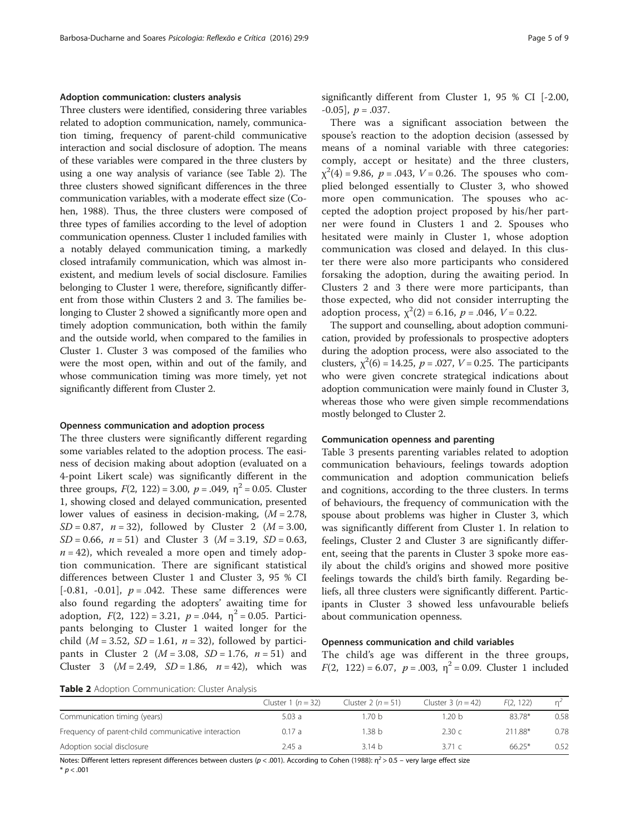#### Adoption communication: clusters analysis

Three clusters were identified, considering three variables related to adoption communication, namely, communication timing, frequency of parent-child communicative interaction and social disclosure of adoption. The means of these variables were compared in the three clusters by using a one way analysis of variance (see Table 2). The three clusters showed significant differences in the three communication variables, with a moderate effect size (Cohen, [1988\)](#page-7-0). Thus, the three clusters were composed of three types of families according to the level of adoption communication openness. Cluster 1 included families with a notably delayed communication timing, a markedly closed intrafamily communication, which was almost inexistent, and medium levels of social disclosure. Families belonging to Cluster 1 were, therefore, significantly different from those within Clusters 2 and 3. The families belonging to Cluster 2 showed a significantly more open and timely adoption communication, both within the family and the outside world, when compared to the families in Cluster 1. Cluster 3 was composed of the families who were the most open, within and out of the family, and whose communication timing was more timely, yet not significantly different from Cluster 2.

#### Openness communication and adoption process

The three clusters were significantly different regarding some variables related to the adoption process. The easiness of decision making about adoption (evaluated on a 4-point Likert scale) was significantly different in the three groups,  $F(2, 122) = 3.00$ ,  $p = .049$ ,  $\eta^2 = 0.05$ . Cluster 1, showing closed and delayed communication, presented lower values of easiness in decision-making,  $(M = 2.78$ ,  $SD = 0.87$ ,  $n = 32$ ), followed by Cluster 2 ( $M = 3.00$ ,  $SD = 0.66$ ,  $n = 51$ ) and Cluster 3 ( $M = 3.19$ ,  $SD = 0.63$ ,  $n = 42$ ), which revealed a more open and timely adoption communication. There are significant statistical differences between Cluster 1 and Cluster 3, 95 % CI [-0.81, -0.01],  $p = .042$ . These same differences were also found regarding the adopters' awaiting time for adoption,  $F(2, 122) = 3.21$ ,  $p = .044$ ,  $\eta^2 = 0.05$ . Participants belonging to Cluster 1 waited longer for the child ( $M = 3.52$ ,  $SD = 1.61$ ,  $n = 32$ ), followed by participants in Cluster 2 ( $M = 3.08$ ,  $SD = 1.76$ ,  $n = 51$ ) and Cluster 3 ( $M = 2.49$ ,  $SD = 1.86$ ,  $n = 42$ ), which was significantly different from Cluster 1, 95 % CI [-2.00,  $-0.05$ ],  $p = .037$ .

There was a significant association between the spouse's reaction to the adoption decision (assessed by means of a nominal variable with three categories: comply, accept or hesitate) and the three clusters,  $\chi^2(4) = 9.86$ ,  $p = .043$ ,  $V = 0.26$ . The spouses who complied belonged essentially to Cluster 3, who showed more open communication. The spouses who accepted the adoption project proposed by his/her partner were found in Clusters 1 and 2. Spouses who hesitated were mainly in Cluster 1, whose adoption communication was closed and delayed. In this cluster there were also more participants who considered forsaking the adoption, during the awaiting period. In Clusters 2 and 3 there were more participants, than those expected, who did not consider interrupting the adoption process,  $\chi^2(2) = 6.16$ ,  $p = .046$ ,  $V = 0.22$ .

The support and counselling, about adoption communication, provided by professionals to prospective adopters during the adoption process, were also associated to the clusters,  $\chi^2(6) = 14.25$ ,  $p = .027$ ,  $V = 0.25$ . The participants who were given concrete strategical indications about adoption communication were mainly found in Cluster 3, whereas those who were given simple recommendations mostly belonged to Cluster 2.

#### Communication openness and parenting

Table [3](#page-5-0) presents parenting variables related to adoption communication behaviours, feelings towards adoption communication and adoption communication beliefs and cognitions, according to the three clusters. In terms of behaviours, the frequency of communication with the spouse about problems was higher in Cluster 3, which was significantly different from Cluster 1. In relation to feelings, Cluster 2 and Cluster 3 are significantly different, seeing that the parents in Cluster 3 spoke more easily about the child's origins and showed more positive feelings towards the child's birth family. Regarding beliefs, all three clusters were significantly different. Participants in Cluster 3 showed less unfavourable beliefs about communication openness.

#### Openness communication and child variables

The child's age was different in the three groups,  $F(2, 122) = 6.07$ ,  $p = .003$ ,  $\eta^2 = 0.09$ . Cluster 1 included

Table 2 Adoption Communication: Cluster Analysis

|                                                     | Cluster 1 $(n = 32)$ | Cluster 2 $(n = 51)$ | Cluster 3 $(n = 42)$ | F(2, 122) |      |
|-----------------------------------------------------|----------------------|----------------------|----------------------|-----------|------|
| Communication timing (years)                        | 5.03a                | 1.70 b               | .20 <sub>b</sub>     | 83.78*    | 0.58 |
| Frequency of parent-child communicative interaction | 0.17 a               | 1.38 b               | 2.30c                | 211.88*   | 0.78 |
| Adoption social disclosure                          | 2.45a                | 3.14 h               | 371 $c$              | $66.25*$  | 0.52 |

Notes: Different letters represent differences between clusters ( $p < .001$ ). According to Cohen ([1988](#page-7-0)):  $\eta^2 > 0.5$  – very large effect size  $*$   $p < .001$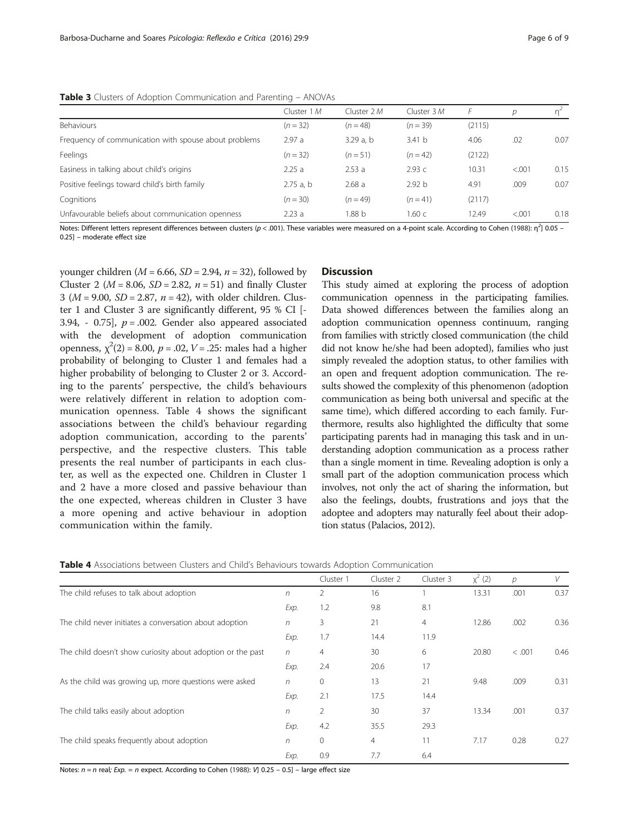<span id="page-5-0"></span>Table 3 Clusters of Adoption Communication and Parenting – ANOVAs

|                                                       | Cluster 1 M | Cluster 2 M | Cluster 3 M | $\vdash$ | р       |      |
|-------------------------------------------------------|-------------|-------------|-------------|----------|---------|------|
| Behaviours                                            | $(n = 32)$  | $(n = 48)$  | $(n = 39)$  | (2115)   |         |      |
| Frequency of communication with spouse about problems | 2.97a       | 3.29a, b    | 3.41 b      | 4.06     | .02     | 0.07 |
| Feelings                                              | $(n = 32)$  | $(n=51)$    | $(n = 42)$  | (2122)   |         |      |
| Easiness in talking about child's origins             | 2.25a       | 2.53a       | 2.93c       | 10.31    | < 0.001 | 0.15 |
| Positive feelings toward child's birth family         | 2.75a, b    | 2.68a       | 2.92 b      | 4.91     | .009    | 0.07 |
| Cognitions                                            | $(n = 30)$  | $(n = 49)$  | $(n=41)$    | (2117)   |         |      |
| Unfavourable beliefs about communication openness     | 2.23a       | 1.88 b      | 1.60 с      | 12.49    | < 0.001 | 0.18 |

Notes: Different letters represent differences between clusters (p < .001). These variables were measured on a 4-point scale. According to Cohen [\(1988](#page-7-0)): η<sup>2</sup>] 0.05 –<br>0.251 – moderate effect size 0.25] – moderate effect size

younger children ( $M = 6.66$ ,  $SD = 2.94$ ,  $n = 32$ ), followed by Cluster 2 ( $M = 8.06$ ,  $SD = 2.82$ ,  $n = 51$ ) and finally Cluster 3 ( $M = 9.00$ ,  $SD = 2.87$ ,  $n = 42$ ), with older children. Cluster 1 and Cluster 3 are significantly different, 95 % CI [- 3.94, - 0.75],  $p = .002$ . Gender also appeared associated with the development of adoption communication openness,  $\chi^2(2) = 8.00$ ,  $p = .02$ ,  $V = .25$ : males had a higher probability of belonging to Cluster 1 and females had a higher probability of belonging to Cluster 2 or 3. According to the parents' perspective, the child's behaviours were relatively different in relation to adoption communication openness. Table 4 shows the significant associations between the child's behaviour regarding adoption communication, according to the parents' perspective, and the respective clusters. This table presents the real number of participants in each cluster, as well as the expected one. Children in Cluster 1 and 2 have a more closed and passive behaviour than the one expected, whereas children in Cluster 3 have a more opening and active behaviour in adoption communication within the family.

#### **Discussion**

This study aimed at exploring the process of adoption communication openness in the participating families. Data showed differences between the families along an adoption communication openness continuum, ranging from families with strictly closed communication (the child did not know he/she had been adopted), families who just simply revealed the adoption status, to other families with an open and frequent adoption communication. The results showed the complexity of this phenomenon (adoption communication as being both universal and specific at the same time), which differed according to each family. Furthermore, results also highlighted the difficulty that some participating parents had in managing this task and in understanding adoption communication as a process rather than a single moment in time. Revealing adoption is only a small part of the adoption communication process which involves, not only the act of sharing the information, but also the feelings, doubts, frustrations and joys that the adoptee and adopters may naturally feel about their adoption status (Palacios, [2012\)](#page-8-0).

| <b>Table 4</b> Associations between Clusters and Child's Behaviours towards Adoption Communication |  |
|----------------------------------------------------------------------------------------------------|--|
|----------------------------------------------------------------------------------------------------|--|

|                                                             |            | Cluster 1    | Cluster 2      | Cluster 3      | $x^2$ (2) | р      | V    |
|-------------------------------------------------------------|------------|--------------|----------------|----------------|-----------|--------|------|
| The child refuses to talk about adoption                    | $\sqrt{n}$ | 2            | 16             |                | 13.31     | .001   | 0.37 |
|                                                             | Exp.       | 1.2          | 9.8            | 8.1            |           |        |      |
| The child never initiates a conversation about adoption     | $\sqrt{n}$ | 3            | 21             | $\overline{4}$ | 12.86     | .002   | 0.36 |
|                                                             | Exp.       | 1.7          | 14.4           | 11.9           |           |        |      |
| The child doesn't show curiosity about adoption or the past | $\sqrt{n}$ | 4            | 30             | 6              | 20.80     | < .001 | 0.46 |
|                                                             | Exp.       | 2.4          | 20.6           | 17             |           |        |      |
| As the child was growing up, more questions were asked      | $\sqrt{n}$ | $\mathbf{0}$ | 13             | 21             | 9.48      | .009   | 0.31 |
|                                                             | Exp.       | 2.1          | 17.5           | 14.4           |           |        |      |
| The child talks easily about adoption                       | $\sqrt{n}$ | 2            | 30             | 37             | 13.34     | .001   | 0.37 |
|                                                             | Exp.       | 4.2          | 35.5           | 29.3           |           |        |      |
| The child speaks frequently about adoption                  | n          | $\mathbf 0$  | $\overline{4}$ | 11             | 7.17      | 0.28   | 0.27 |
|                                                             | Exp.       | 0.9          | 7.7            | 6.4            |           |        |      |

Notes:  $n = n$  real; Exp. = n expect. According to Cohen ([1988](#page-7-0)): V] 0.25 - 0.5] - large effect size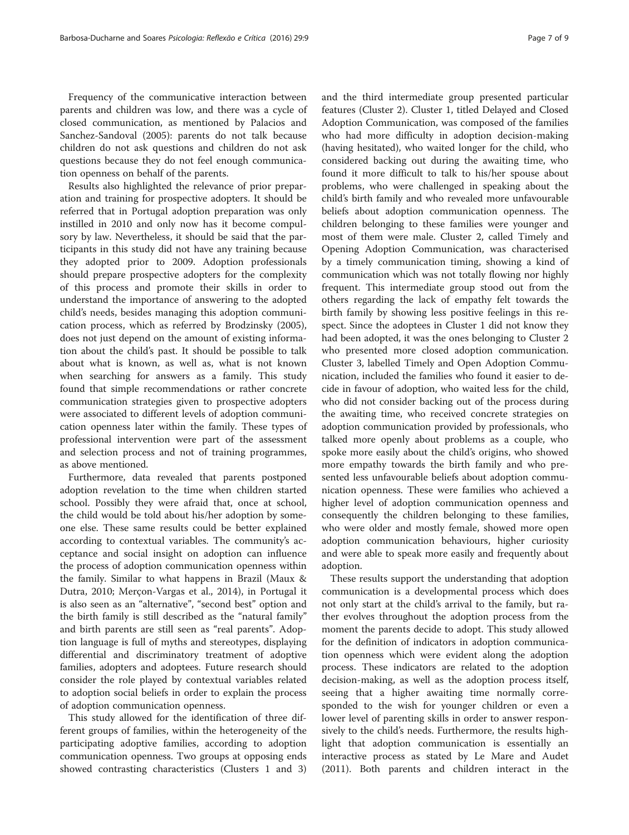Frequency of the communicative interaction between parents and children was low, and there was a cycle of closed communication, as mentioned by Palacios and Sanchez-Sandoval [\(2005\)](#page-8-0): parents do not talk because children do not ask questions and children do not ask questions because they do not feel enough communication openness on behalf of the parents.

Results also highlighted the relevance of prior preparation and training for prospective adopters. It should be referred that in Portugal adoption preparation was only instilled in 2010 and only now has it become compulsory by law. Nevertheless, it should be said that the participants in this study did not have any training because they adopted prior to 2009. Adoption professionals should prepare prospective adopters for the complexity of this process and promote their skills in order to understand the importance of answering to the adopted child's needs, besides managing this adoption communication process, which as referred by Brodzinsky ([2005](#page-7-0)), does not just depend on the amount of existing information about the child's past. It should be possible to talk about what is known, as well as, what is not known when searching for answers as a family. This study found that simple recommendations or rather concrete communication strategies given to prospective adopters were associated to different levels of adoption communication openness later within the family. These types of professional intervention were part of the assessment and selection process and not of training programmes, as above mentioned.

Furthermore, data revealed that parents postponed adoption revelation to the time when children started school. Possibly they were afraid that, once at school, the child would be told about his/her adoption by someone else. These same results could be better explained according to contextual variables. The community's acceptance and social insight on adoption can influence the process of adoption communication openness within the family. Similar to what happens in Brazil (Maux & Dutra, [2010](#page-8-0); Merçon-Vargas et al., [2014](#page-8-0)), in Portugal it is also seen as an "alternative", "second best" option and the birth family is still described as the "natural family" and birth parents are still seen as "real parents". Adoption language is full of myths and stereotypes, displaying differential and discriminatory treatment of adoptive families, adopters and adoptees. Future research should consider the role played by contextual variables related to adoption social beliefs in order to explain the process of adoption communication openness.

This study allowed for the identification of three different groups of families, within the heterogeneity of the participating adoptive families, according to adoption communication openness. Two groups at opposing ends showed contrasting characteristics (Clusters 1 and 3) and the third intermediate group presented particular features (Cluster 2). Cluster 1, titled Delayed and Closed Adoption Communication, was composed of the families who had more difficulty in adoption decision-making (having hesitated), who waited longer for the child, who considered backing out during the awaiting time, who found it more difficult to talk to his/her spouse about problems, who were challenged in speaking about the child's birth family and who revealed more unfavourable beliefs about adoption communication openness. The children belonging to these families were younger and most of them were male. Cluster 2, called Timely and Opening Adoption Communication, was characterised by a timely communication timing, showing a kind of communication which was not totally flowing nor highly frequent. This intermediate group stood out from the others regarding the lack of empathy felt towards the birth family by showing less positive feelings in this respect. Since the adoptees in Cluster 1 did not know they had been adopted, it was the ones belonging to Cluster 2 who presented more closed adoption communication. Cluster 3, labelled Timely and Open Adoption Communication, included the families who found it easier to decide in favour of adoption, who waited less for the child, who did not consider backing out of the process during the awaiting time, who received concrete strategies on adoption communication provided by professionals, who talked more openly about problems as a couple, who spoke more easily about the child's origins, who showed more empathy towards the birth family and who presented less unfavourable beliefs about adoption communication openness. These were families who achieved a higher level of adoption communication openness and consequently the children belonging to these families, who were older and mostly female, showed more open adoption communication behaviours, higher curiosity and were able to speak more easily and frequently about adoption.

These results support the understanding that adoption communication is a developmental process which does not only start at the child's arrival to the family, but rather evolves throughout the adoption process from the moment the parents decide to adopt. This study allowed for the definition of indicators in adoption communication openness which were evident along the adoption process. These indicators are related to the adoption decision-making, as well as the adoption process itself, seeing that a higher awaiting time normally corresponded to the wish for younger children or even a lower level of parenting skills in order to answer responsively to the child's needs. Furthermore, the results highlight that adoption communication is essentially an interactive process as stated by Le Mare and Audet ([2011\)](#page-8-0). Both parents and children interact in the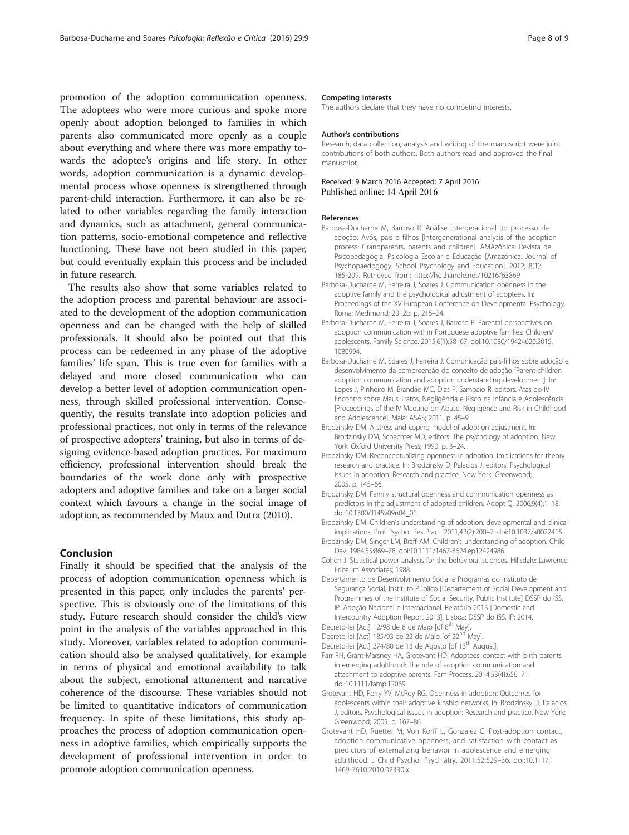<span id="page-7-0"></span>promotion of the adoption communication openness. The adoptees who were more curious and spoke more openly about adoption belonged to families in which parents also communicated more openly as a couple about everything and where there was more empathy towards the adoptee's origins and life story. In other words, adoption communication is a dynamic developmental process whose openness is strengthened through parent-child interaction. Furthermore, it can also be related to other variables regarding the family interaction and dynamics, such as attachment, general communication patterns, socio-emotional competence and reflective functioning. These have not been studied in this paper, but could eventually explain this process and be included in future research.

The results also show that some variables related to the adoption process and parental behaviour are associated to the development of the adoption communication openness and can be changed with the help of skilled professionals. It should also be pointed out that this process can be redeemed in any phase of the adoptive families' life span. This is true even for families with a delayed and more closed communication who can develop a better level of adoption communication openness, through skilled professional intervention. Consequently, the results translate into adoption policies and professional practices, not only in terms of the relevance of prospective adopters' training, but also in terms of designing evidence-based adoption practices. For maximum efficiency, professional intervention should break the boundaries of the work done only with prospective adopters and adoptive families and take on a larger social context which favours a change in the social image of adoption, as recommended by Maux and Dutra [\(2010\)](#page-8-0).

#### Conclusion

Finally it should be specified that the analysis of the process of adoption communication openness which is presented in this paper, only includes the parents' perspective. This is obviously one of the limitations of this study. Future research should consider the child's view point in the analysis of the variables approached in this study. Moreover, variables related to adoption communication should also be analysed qualitatively, for example in terms of physical and emotional availability to talk about the subject, emotional attunement and narrative coherence of the discourse. These variables should not be limited to quantitative indicators of communication frequency. In spite of these limitations, this study approaches the process of adoption communication openness in adoptive families, which empirically supports the development of professional intervention in order to promote adoption communication openness.

The authors declare that they have no competing interests.

#### Author's contributions

Research, data collection, analysis and writing of the manuscript were joint contributions of both authors. Both authors read and approved the final manuscript.

#### Received: 9 March 2016 Accepted: 7 April 2016 Published online: 14 April 2016

#### **References**

- Barbosa-Ducharne M, Barroso R. Análise intergeracional do processo de adoção: Avós, pais e filhos [Intergenerational analysis of the adoption process: Grandparents, parents and children]. AMAzônica: Revista de Psicopedagogia, Psicologia Escolar e Educação [Amazónica: Journal of Psychopaedogogy, School Psychology and Education]. 2012; 8(1): 185-209. Retrieved from:<http://hdl.handle.net/10216/63869>
- Barbosa-Ducharne M, Ferreira J, Soares J. Communication openness in the adoptive family and the psychological adjustment of adoptees. In: Proceedings of the XV European Conference on Developmental Psychology. Roma: Medimond; 2012b. p. 215–24.
- Barbosa-Ducharne M, Ferreira J, Soares J, Barroso R. Parental perspectives on adoption communication within Portuguese adoptive families: Children/ adolescents. Family Science. 2015;6(1):58–67. doi[:10.1080/19424620.2015.](http://dx.doi.org/10.1080/19424620.2015.1080994) [1080994.](http://dx.doi.org/10.1080/19424620.2015.1080994)
- Barbosa-Ducharne M, Soares J, Ferreira J. Comunicação pais-filhos sobre adoção e desenvolvimento da compreensão do conceito de adoção [Parent-children adoption communication and adoption understanding development]. In: Lopes J, Pinheiro M, Brandão MC, Dias P, Sampaio R, editors. Atas do IV Encontro sobre Maus Tratos, Negligência e Risco na Infância e Adolescência [Proceedings of the IV Meeting on Abuse, Negligence and Risk in Childhood and Adolescence]. Maia: ASAS; 2011. p. 45–9.
- Brodzinsky DM. A stress and coping model of adoption adjustment. In: Brodzinsky DM, Schechter MD, editors. The psychology of adoption. New York: Oxford University Press; 1990. p. 3–24.
- Brodzinsky DM. Reconceptualizing openness in adoption: Implications for theory research and practice. In: Brodzinsky D, Palacios J, editors. Psychological issues in adoption: Research and practice. New York: Greenwood; 2005. p. 145–66.
- Brodzinsky DM. Family structural openness and communication openness as predictors in the adjustment of adopted children. Adopt Q. 2006;9(4):1–18. doi[:10.1300/J145v09n04\\_01.](http://dx.doi.org/10.1300/J145v09n04_01)
- Brodzinsky DM. Children's understanding of adoption: developmental and clinical implications. Prof Psychol Res Pract. 2011;42(2):200–7. doi[:10.1037/a0022415](http://dx.doi.org/10.1037/a0022415).
- Brodzinsky DM, Singer LM, Braff AM. Children's understanding of adoption. Child Dev. 1984;55:869–78. doi[:10.1111/1467-8624.ep12424986.](http://dx.doi.org/10.1111/1467-8624.ep12424986)
- Cohen J. Statistical power analysis for the behavioral sciences. Hillsdale: Lawrence Erlbaum Associates; 1988.
- Departamento de Desenvolvimento Social e Programas do Instituto de Segurança Social, Instituto Público [Departement of Social Development and Programmes of the Institute of Social Security, Public Institute] DSSP do ISS, IP. Adoção Nacional e Internacional. Relatório 2013 [Domestic and Intercountry Adoption Report 2013]. Lisboa: DSSP do ISS, IP; 2014.
- Decreto-lei [Act] 12/98 de 8 de Maio [of 8<sup>th</sup> May].
- Decreto-lei [Act] 185/93 de 22 de Maio [of 22<sup>nd</sup> May].
- Decreto-lei [Act] 274/80 de 13 de Agosto [of 13<sup>th</sup> August].
- Farr RH, Grant-Marsney HA, Grotevant HD. Adoptees' contact with birth parents in emerging adulthood: The role of adoption communication and attachment to adoptive parents. Fam Process. 2014;53(4):656–71. doi[:10.1111/famp.12069](http://dx.doi.org/10.1111/famp.12069).
- Grotevant HD, Perry YV, McRoy RG. Openness in adoption: Outcomes for adolescents within their adoptive kinship networks. In: Brodzinsky D, Palacios J, editors. Psychological issues in adoption: Research and practice. New York: Greenwood; 2005. p. 167–86.
- Grotevant HD, Ruetter M, Von Korff L, Gonzalez C. Post-adoption contact, adoption communicative openness, and satisfaction with contact as predictors of externalizing behavior in adolescence and emerging adulthood. J Child Psychol Psychiatry. 2011;52:529–36. doi:[10.111/j.](http://dx.doi.org/10.111/j.1469-7610.2010.02330.x) [1469-7610.2010.02330.x.](http://dx.doi.org/10.111/j.1469-7610.2010.02330.x)